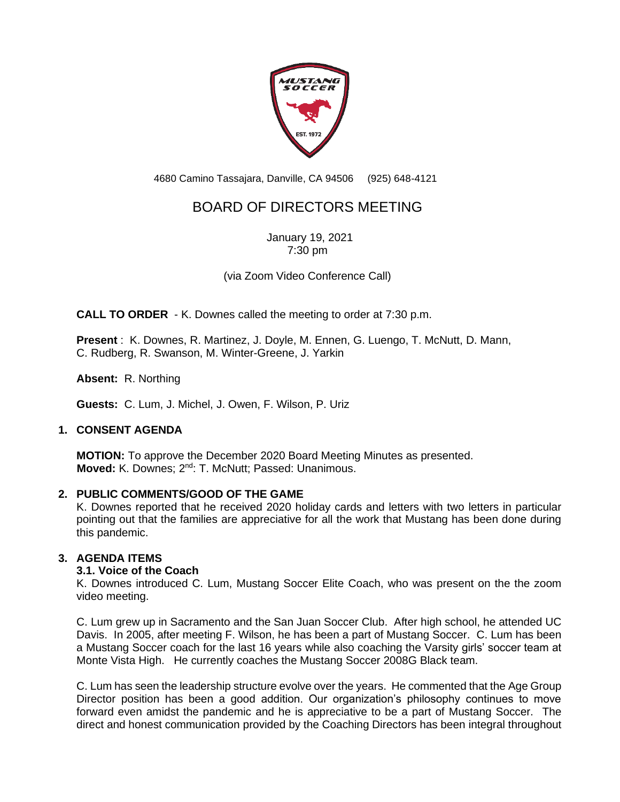

4680 Camino Tassajara, Danville, CA 94506 (925) 648-4121

# BOARD OF DIRECTORS MEETING

January 19, 2021 7:30 pm

(via Zoom Video Conference Call)

**CALL TO ORDER** - K. Downes called the meeting to order at 7:30 p.m.

**Present** : K. Downes, R. Martinez, J. Doyle, M. Ennen, G. Luengo, T. McNutt, D. Mann, C. Rudberg, R. Swanson, M. Winter-Greene, J. Yarkin

**Absent:** R. Northing

**Guests:** C. Lum, J. Michel, J. Owen, F. Wilson, P. Uriz

## **1. CONSENT AGENDA**

**MOTION:** To approve the December 2020 Board Meeting Minutes as presented. **Moved:** K. Downes; 2<sup>nd</sup>: T. McNutt; Passed: Unanimous.

## **2. PUBLIC COMMENTS/GOOD OF THE GAME**

K. Downes reported that he received 2020 holiday cards and letters with two letters in particular pointing out that the families are appreciative for all the work that Mustang has been done during this pandemic.

## **3. AGENDA ITEMS**

## **3.1. Voice of the Coach**

K. Downes introduced C. Lum, Mustang Soccer Elite Coach, who was present on the the zoom video meeting.

C. Lum grew up in Sacramento and the San Juan Soccer Club. After high school, he attended UC Davis. In 2005, after meeting F. Wilson, he has been a part of Mustang Soccer. C. Lum has been a Mustang Soccer coach for the last 16 years while also coaching the Varsity girls' soccer team at Monte Vista High. He currently coaches the Mustang Soccer 2008G Black team.

C. Lum has seen the leadership structure evolve over the years. He commented that the Age Group Director position has been a good addition. Our organization's philosophy continues to move forward even amidst the pandemic and he is appreciative to be a part of Mustang Soccer. The direct and honest communication provided by the Coaching Directors has been integral throughout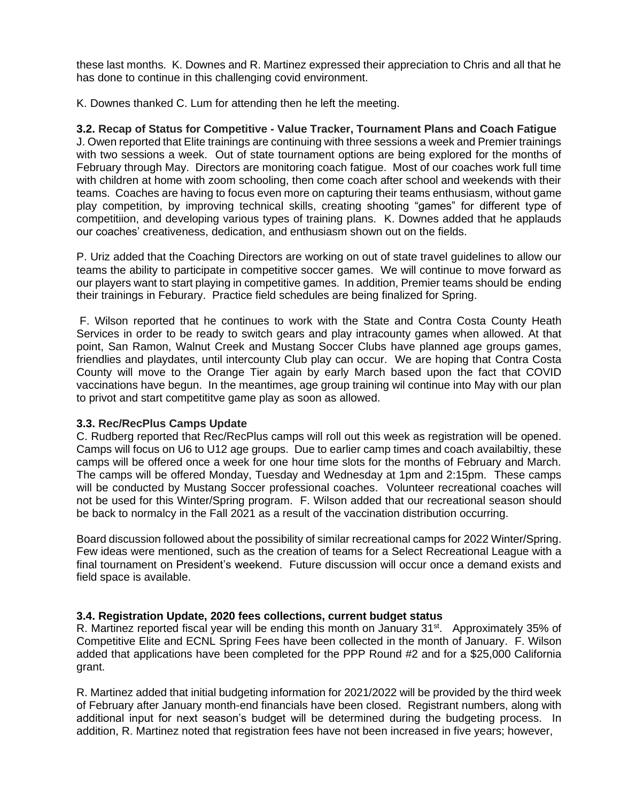these last months. K. Downes and R. Martinez expressed their appreciation to Chris and all that he has done to continue in this challenging covid environment.

K. Downes thanked C. Lum for attending then he left the meeting.

# **3.2. Recap of Status for Competitive - Value Tracker, Tournament Plans and Coach Fatigue**

J. Owen reported that Elite trainings are continuing with three sessions a week and Premier trainings with two sessions a week. Out of state tournament options are being explored for the months of February through May. Directors are monitoring coach fatigue. Most of our coaches work full time with children at home with zoom schooling, then come coach after school and weekends with their teams. Coaches are having to focus even more on capturing their teams enthusiasm, without game play competition, by improving technical skills, creating shooting "games" for different type of competitiion, and developing various types of training plans. K. Downes added that he applauds our coaches' creativeness, dedication, and enthusiasm shown out on the fields.

P. Uriz added that the Coaching Directors are working on out of state travel guidelines to allow our teams the ability to participate in competitive soccer games. We will continue to move forward as our players want to start playing in competitive games. In addition, Premier teams should be ending their trainings in Feburary. Practice field schedules are being finalized for Spring.

F. Wilson reported that he continues to work with the State and Contra Costa County Heath Services in order to be ready to switch gears and play intracounty games when allowed. At that point, San Ramon, Walnut Creek and Mustang Soccer Clubs have planned age groups games, friendlies and playdates, until intercounty Club play can occur. We are hoping that Contra Costa County will move to the Orange Tier again by early March based upon the fact that COVID vaccinations have begun. In the meantimes, age group training wil continue into May with our plan to privot and start competititve game play as soon as allowed.

## **3.3. Rec/RecPlus Camps Update**

C. Rudberg reported that Rec/RecPlus camps will roll out this week as registration will be opened. Camps will focus on U6 to U12 age groups. Due to earlier camp times and coach availabiltiy, these camps will be offered once a week for one hour time slots for the months of February and March. The camps will be offered Monday, Tuesday and Wednesday at 1pm and 2:15pm. These camps will be conducted by Mustang Soccer professional coaches. Volunteer recreational coaches will not be used for this Winter/Spring program. F. Wilson added that our recreational season should be back to normalcy in the Fall 2021 as a result of the vaccination distribution occurring.

Board discussion followed about the possibility of similar recreational camps for 2022 Winter/Spring. Few ideas were mentioned, such as the creation of teams for a Select Recreational League with a final tournament on President's weekend. Future discussion will occur once a demand exists and field space is available.

# **3.4. Registration Update, 2020 fees collections, current budget status**

R. Martinez reported fiscal year will be ending this month on January 31<sup>st</sup>. Approximately 35% of Competitive Elite and ECNL Spring Fees have been collected in the month of January. F. Wilson added that applications have been completed for the PPP Round #2 and for a \$25,000 California grant.

R. Martinez added that initial budgeting information for 2021/2022 will be provided by the third week of February after January month-end financials have been closed. Registrant numbers, along with additional input for next season's budget will be determined during the budgeting process. In addition, R. Martinez noted that registration fees have not been increased in five years; however,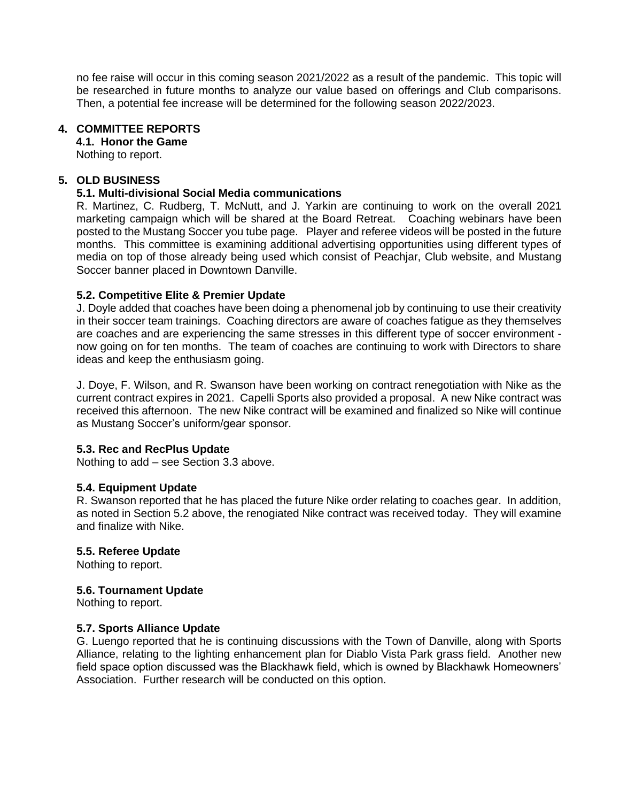no fee raise will occur in this coming season 2021/2022 as a result of the pandemic. This topic will be researched in future months to analyze our value based on offerings and Club comparisons. Then, a potential fee increase will be determined for the following season 2022/2023.

#### **4. COMMITTEE REPORTS**

## **4.1. Honor the Game**

Nothing to report.

#### **5. OLD BUSINESS**

#### **5.1. Multi-divisional Social Media communications**

R. Martinez, C. Rudberg, T. McNutt, and J. Yarkin are continuing to work on the overall 2021 marketing campaign which will be shared at the Board Retreat. Coaching webinars have been posted to the Mustang Soccer you tube page. Player and referee videos will be posted in the future months. This committee is examining additional advertising opportunities using different types of media on top of those already being used which consist of Peachjar, Club website, and Mustang Soccer banner placed in Downtown Danville.

#### **5.2. Competitive Elite & Premier Update**

J. Doyle added that coaches have been doing a phenomenal job by continuing to use their creativity in their soccer team trainings. Coaching directors are aware of coaches fatigue as they themselves are coaches and are experiencing the same stresses in this different type of soccer environment now going on for ten months. The team of coaches are continuing to work with Directors to share ideas and keep the enthusiasm going.

J. Doye, F. Wilson, and R. Swanson have been working on contract renegotiation with Nike as the current contract expires in 2021. Capelli Sports also provided a proposal. A new Nike contract was received this afternoon. The new Nike contract will be examined and finalized so Nike will continue as Mustang Soccer's uniform/gear sponsor.

## **5.3. Rec and RecPlus Update**

Nothing to add – see Section 3.3 above.

#### **5.4. Equipment Update**

R. Swanson reported that he has placed the future Nike order relating to coaches gear. In addition, as noted in Section 5.2 above, the renogiated Nike contract was received today. They will examine and finalize with Nike.

## **5.5. Referee Update**

Nothing to report.

#### **5.6. Tournament Update**

Nothing to report.

## **5.7. Sports Alliance Update**

G. Luengo reported that he is continuing discussions with the Town of Danville, along with Sports Alliance, relating to the lighting enhancement plan for Diablo Vista Park grass field. Another new field space option discussed was the Blackhawk field, which is owned by Blackhawk Homeowners' Association. Further research will be conducted on this option.